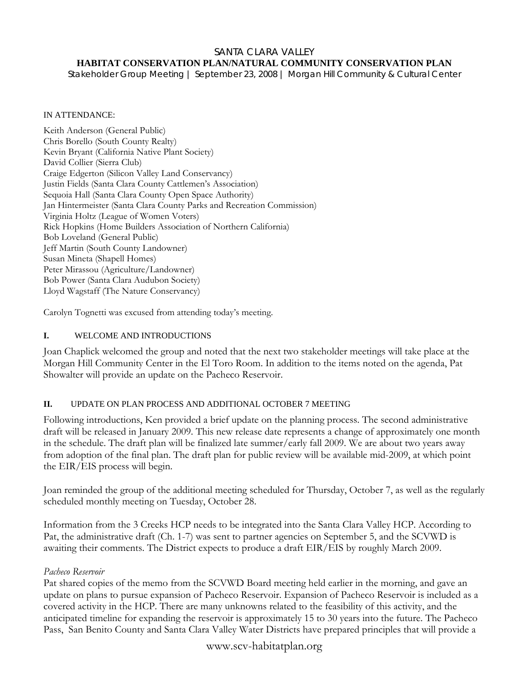#### SANTA CLARA VALLEY **HABITAT CONSERVATION PLAN/NATURAL COMMUNITY CONSERVATION PLAN**

*Stakeholder Group Meeting | September 23, 2008 | Morgan Hill Community & Cultural Center* 

#### IN ATTENDANCE:

Keith Anderson (General Public) Chris Borello (South County Realty) Kevin Bryant (California Native Plant Society) David Collier (Sierra Club) Craige Edgerton (Silicon Valley Land Conservancy) Justin Fields (Santa Clara County Cattlemen's Association) Sequoia Hall (Santa Clara County Open Space Authority) Jan Hintermeister (Santa Clara County Parks and Recreation Commission) Virginia Holtz (League of Women Voters) Rick Hopkins (Home Builders Association of Northern California) Bob Loveland (General Public) Jeff Martin (South County Landowner) Susan Mineta (Shapell Homes) Peter Mirassou (Agriculture/Landowner) Bob Power (Santa Clara Audubon Society) Lloyd Wagstaff (The Nature Conservancy)

Carolyn Tognetti was excused from attending today's meeting.

#### **I.** WELCOME AND INTRODUCTIONS

Joan Chaplick welcomed the group and noted that the next two stakeholder meetings will take place at the Morgan Hill Community Center in the El Toro Room. In addition to the items noted on the agenda, Pat Showalter will provide an update on the Pacheco Reservoir.

### **II.** UPDATE ON PLAN PROCESS AND ADDITIONAL OCTOBER 7 MEETING

Following introductions, Ken provided a brief update on the planning process. The second administrative draft will be released in January 2009. This new release date represents a change of approximately one month in the schedule. The draft plan will be finalized late summer/early fall 2009. We are about two years away from adoption of the final plan. The draft plan for public review will be available mid-2009, at which point the EIR/EIS process will begin.

Joan reminded the group of the additional meeting scheduled for Thursday, October 7, as well as the regularly scheduled monthly meeting on Tuesday, October 28.

Information from the 3 Creeks HCP needs to be integrated into the Santa Clara Valley HCP. According to Pat, the administrative draft (Ch. 1-7) was sent to partner agencies on September 5, and the SCVWD is awaiting their comments. The District expects to produce a draft EIR/EIS by roughly March 2009.

#### *Pacheco Reservoir*

Pat shared copies of the memo from the SCVWD Board meeting held earlier in the morning, and gave an update on plans to pursue expansion of Pacheco Reservoir. Expansion of Pacheco Reservoir is included as a covered activity in the HCP. There are many unknowns related to the feasibility of this activity, and the anticipated timeline for expanding the reservoir is approximately 15 to 30 years into the future. The Pacheco Pass, San Benito County and Santa Clara Valley Water Districts have prepared principles that will provide a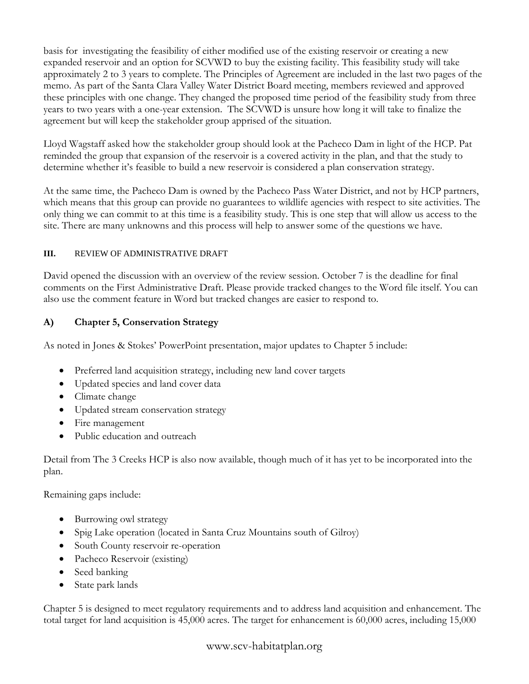basis for investigating the feasibility of either modified use of the existing reservoir or creating a new expanded reservoir and an option for SCVWD to buy the existing facility. This feasibility study will take approximately 2 to 3 years to complete. The Principles of Agreement are included in the last two pages of the memo. As part of the Santa Clara Valley Water District Board meeting, members reviewed and approved these principles with one change. They changed the proposed time period of the feasibility study from three years to two years with a one-year extension. The SCVWD is unsure how long it will take to finalize the agreement but will keep the stakeholder group apprised of the situation.

Lloyd Wagstaff asked how the stakeholder group should look at the Pacheco Dam in light of the HCP. Pat reminded the group that expansion of the reservoir is a covered activity in the plan, and that the study to determine whether it's feasible to build a new reservoir is considered a plan conservation strategy.

At the same time, the Pacheco Dam is owned by the Pacheco Pass Water District, and not by HCP partners, which means that this group can provide no guarantees to wildlife agencies with respect to site activities. The only thing we can commit to at this time is a feasibility study. This is one step that will allow us access to the site. There are many unknowns and this process will help to answer some of the questions we have.

## **III.** REVIEW OF ADMINISTRATIVE DRAFT

David opened the discussion with an overview of the review session. October 7 is the deadline for final comments on the First Administrative Draft. Please provide tracked changes to the Word file itself. You can also use the comment feature in Word but tracked changes are easier to respond to.

# **A) Chapter 5, Conservation Strategy**

As noted in Jones & Stokes' PowerPoint presentation, major updates to Chapter 5 include:

- Preferred land acquisition strategy, including new land cover targets
- Updated species and land cover data
- Climate change
- Updated stream conservation strategy
- Fire management
- Public education and outreach

Detail from The 3 Creeks HCP is also now available, though much of it has yet to be incorporated into the plan.

Remaining gaps include:

- Burrowing owl strategy
- Spig Lake operation (located in Santa Cruz Mountains south of Gilroy)
- South County reservoir re-operation
- Pacheco Reservoir (existing)
- Seed banking
- State park lands

Chapter 5 is designed to meet regulatory requirements and to address land acquisition and enhancement. The total target for land acquisition is 45,000 acres. The target for enhancement is 60,000 acres, including 15,000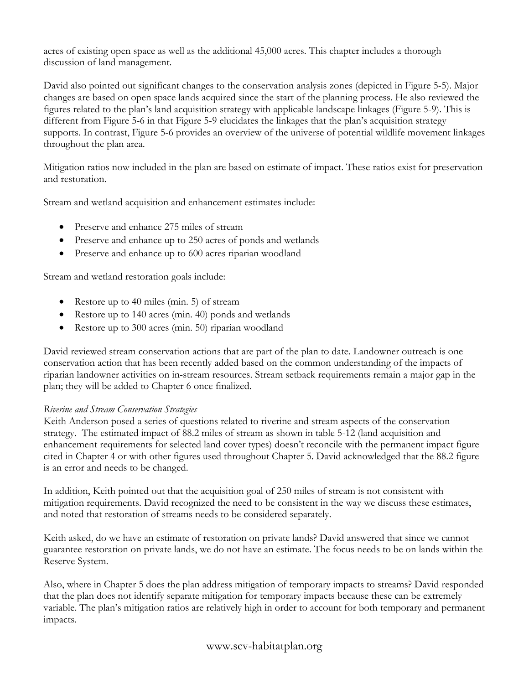acres of existing open space as well as the additional 45,000 acres. This chapter includes a thorough discussion of land management.

David also pointed out significant changes to the conservation analysis zones (depicted in Figure 5-5). Major changes are based on open space lands acquired since the start of the planning process. He also reviewed the figures related to the plan's land acquisition strategy with applicable landscape linkages (Figure 5-9). This is different from Figure 5-6 in that Figure 5-9 elucidates the linkages that the plan's acquisition strategy supports. In contrast, Figure 5-6 provides an overview of the universe of potential wildlife movement linkages throughout the plan area.

Mitigation ratios now included in the plan are based on estimate of impact. These ratios exist for preservation and restoration.

Stream and wetland acquisition and enhancement estimates include:

- Preserve and enhance 275 miles of stream
- Preserve and enhance up to 250 acres of ponds and wetlands
- Preserve and enhance up to 600 acres riparian woodland

Stream and wetland restoration goals include:

- Restore up to 40 miles (min. 5) of stream
- Restore up to 140 acres (min. 40) ponds and wetlands
- Restore up to 300 acres (min. 50) riparian woodland

David reviewed stream conservation actions that are part of the plan to date. Landowner outreach is one conservation action that has been recently added based on the common understanding of the impacts of riparian landowner activities on in-stream resources. Stream setback requirements remain a major gap in the plan; they will be added to Chapter 6 once finalized.

# *Riverine and Stream Conservation Strategies*

Keith Anderson posed a series of questions related to riverine and stream aspects of the conservation strategy. The estimated impact of 88.2 miles of stream as shown in table 5-12 (land acquisition and enhancement requirements for selected land cover types) doesn't reconcile with the permanent impact figure cited in Chapter 4 or with other figures used throughout Chapter 5. David acknowledged that the 88.2 figure is an error and needs to be changed.

In addition, Keith pointed out that the acquisition goal of 250 miles of stream is not consistent with mitigation requirements. David recognized the need to be consistent in the way we discuss these estimates, and noted that restoration of streams needs to be considered separately.

Keith asked, do we have an estimate of restoration on private lands? David answered that since we cannot guarantee restoration on private lands, we do not have an estimate. The focus needs to be on lands within the Reserve System.

Also, where in Chapter 5 does the plan address mitigation of temporary impacts to streams? David responded that the plan does not identify separate mitigation for temporary impacts because these can be extremely variable. The plan's mitigation ratios are relatively high in order to account for both temporary and permanent impacts.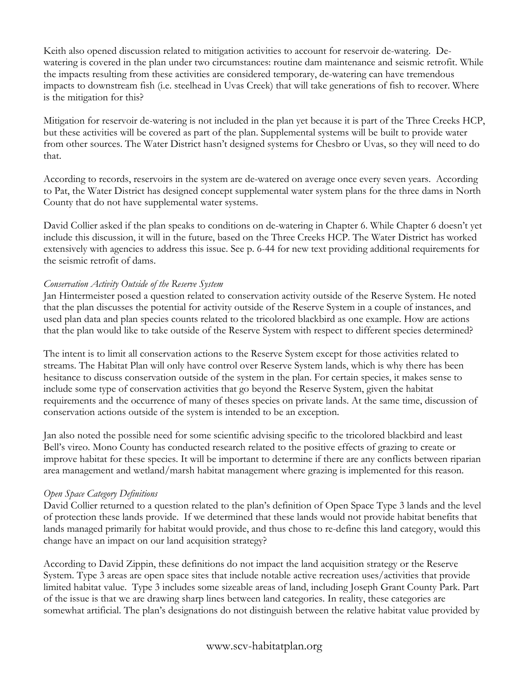Keith also opened discussion related to mitigation activities to account for reservoir de-watering. Dewatering is covered in the plan under two circumstances: routine dam maintenance and seismic retrofit. While the impacts resulting from these activities are considered temporary, de-watering can have tremendous impacts to downstream fish (i.e. steelhead in Uvas Creek) that will take generations of fish to recover. Where is the mitigation for this?

Mitigation for reservoir de-watering is not included in the plan yet because it is part of the Three Creeks HCP, but these activities will be covered as part of the plan. Supplemental systems will be built to provide water from other sources. The Water District hasn't designed systems for Chesbro or Uvas, so they will need to do that.

According to records, reservoirs in the system are de-watered on average once every seven years. According to Pat, the Water District has designed concept supplemental water system plans for the three dams in North County that do not have supplemental water systems.

David Collier asked if the plan speaks to conditions on de-watering in Chapter 6. While Chapter 6 doesn't yet include this discussion, it will in the future, based on the Three Creeks HCP. The Water District has worked extensively with agencies to address this issue. See p. 6-44 for new text providing additional requirements for the seismic retrofit of dams.

## *Conservation Activity Outside of the Reserve System*

Jan Hintermeister posed a question related to conservation activity outside of the Reserve System. He noted that the plan discusses the potential for activity outside of the Reserve System in a couple of instances, and used plan data and plan species counts related to the tricolored blackbird as one example. How are actions that the plan would like to take outside of the Reserve System with respect to different species determined?

The intent is to limit all conservation actions to the Reserve System except for those activities related to streams. The Habitat Plan will only have control over Reserve System lands, which is why there has been hesitance to discuss conservation outside of the system in the plan. For certain species, it makes sense to include some type of conservation activities that go beyond the Reserve System, given the habitat requirements and the occurrence of many of theses species on private lands. At the same time, discussion of conservation actions outside of the system is intended to be an exception.

Jan also noted the possible need for some scientific advising specific to the tricolored blackbird and least Bell's vireo. Mono County has conducted research related to the positive effects of grazing to create or improve habitat for these species. It will be important to determine if there are any conflicts between riparian area management and wetland/marsh habitat management where grazing is implemented for this reason.

### *Open Space Category Definitions*

David Collier returned to a question related to the plan's definition of Open Space Type 3 lands and the level of protection these lands provide. If we determined that these lands would not provide habitat benefits that lands managed primarily for habitat would provide, and thus chose to re-define this land category, would this change have an impact on our land acquisition strategy?

According to David Zippin, these definitions do not impact the land acquisition strategy or the Reserve System. Type 3 areas are open space sites that include notable active recreation uses/activities that provide limited habitat value. Type 3 includes some sizeable areas of land, including Joseph Grant County Park. Part of the issue is that we are drawing sharp lines between land categories. In reality, these categories are somewhat artificial. The plan's designations do not distinguish between the relative habitat value provided by

# www.scv-habitatplan.org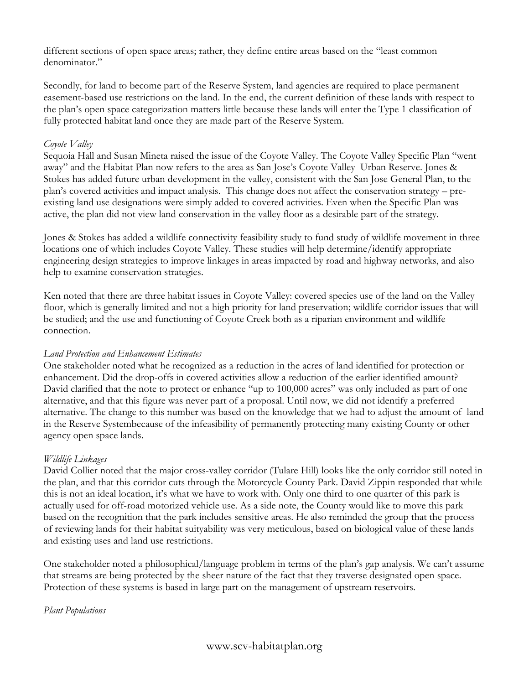different sections of open space areas; rather, they define entire areas based on the "least common denominator."

Secondly, for land to become part of the Reserve System, land agencies are required to place permanent easement-based use restrictions on the land. In the end, the current definition of these lands with respect to the plan's open space categorization matters little because these lands will enter the Type 1 classification of fully protected habitat land once they are made part of the Reserve System.

## *Coyote Valley*

Sequoia Hall and Susan Mineta raised the issue of the Coyote Valley. The Coyote Valley Specific Plan "went away" and the Habitat Plan now refers to the area as San Jose's Coyote Valley Urban Reserve. Jones & Stokes has added future urban development in the valley, consistent with the San Jose General Plan, to the plan's covered activities and impact analysis. This change does not affect the conservation strategy – preexisting land use designations were simply added to covered activities. Even when the Specific Plan was active, the plan did not view land conservation in the valley floor as a desirable part of the strategy.

Jones & Stokes has added a wildlife connectivity feasibility study to fund study of wildlife movement in three locations one of which includes Coyote Valley. These studies will help determine/identify appropriate engineering design strategies to improve linkages in areas impacted by road and highway networks, and also help to examine conservation strategies.

Ken noted that there are three habitat issues in Coyote Valley: covered species use of the land on the Valley floor, which is generally limited and not a high priority for land preservation; wildlife corridor issues that will be studied; and the use and functioning of Coyote Creek both as a riparian environment and wildlife connection.

### *Land Protection and Enhancement Estimates*

One stakeholder noted what he recognized as a reduction in the acres of land identified for protection or enhancement. Did the drop-offs in covered activities allow a reduction of the earlier identified amount? David clarified that the note to protect or enhance "up to 100,000 acres" was only included as part of one alternative, and that this figure was never part of a proposal. Until now, we did not identify a preferred alternative. The change to this number was based on the knowledge that we had to adjust the amount of land in the Reserve Systembecause of the infeasibility of permanently protecting many existing County or other agency open space lands.

# *Wildlife Linkages*

David Collier noted that the major cross-valley corridor (Tulare Hill) looks like the only corridor still noted in the plan, and that this corridor cuts through the Motorcycle County Park. David Zippin responded that while this is not an ideal location, it's what we have to work with. Only one third to one quarter of this park is actually used for off-road motorized vehicle use. As a side note, the County would like to move this park based on the recognition that the park includes sensitive areas. He also reminded the group that the process of reviewing lands for their habitat suityability was very meticulous, based on biological value of these lands and existing uses and land use restrictions.

One stakeholder noted a philosophical/language problem in terms of the plan's gap analysis. We can't assume that streams are being protected by the sheer nature of the fact that they traverse designated open space. Protection of these systems is based in large part on the management of upstream reservoirs.

### *Plant Populations*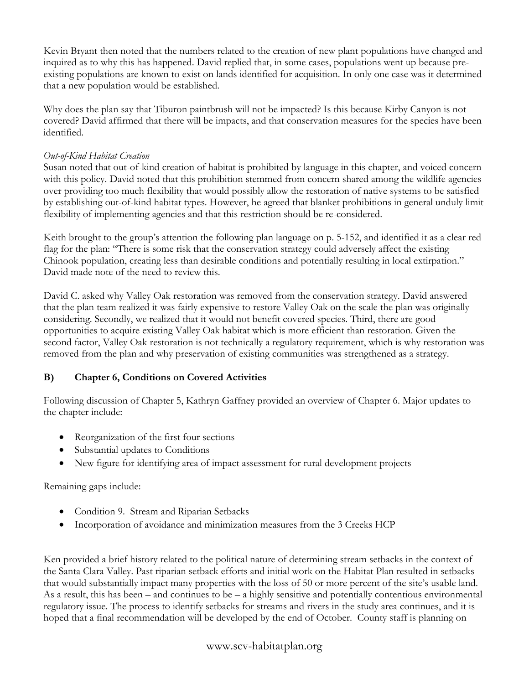Kevin Bryant then noted that the numbers related to the creation of new plant populations have changed and inquired as to why this has happened. David replied that, in some cases, populations went up because preexisting populations are known to exist on lands identified for acquisition. In only one case was it determined that a new population would be established.

Why does the plan say that Tiburon paintbrush will not be impacted? Is this because Kirby Canyon is not covered? David affirmed that there will be impacts, and that conservation measures for the species have been identified.

## *Out-of-Kind Habitat Creation*

Susan noted that out-of-kind creation of habitat is prohibited by language in this chapter, and voiced concern with this policy. David noted that this prohibition stemmed from concern shared among the wildlife agencies over providing too much flexibility that would possibly allow the restoration of native systems to be satisfied by establishing out-of-kind habitat types. However, he agreed that blanket prohibitions in general unduly limit flexibility of implementing agencies and that this restriction should be re-considered.

Keith brought to the group's attention the following plan language on p. 5-152, and identified it as a clear red flag for the plan: "There is some risk that the conservation strategy could adversely affect the existing Chinook population, creating less than desirable conditions and potentially resulting in local extirpation." David made note of the need to review this.

David C. asked why Valley Oak restoration was removed from the conservation strategy. David answered that the plan team realized it was fairly expensive to restore Valley Oak on the scale the plan was originally considering. Secondly, we realized that it would not benefit covered species. Third, there are good opportunities to acquire existing Valley Oak habitat which is more efficient than restoration. Given the second factor, Valley Oak restoration is not technically a regulatory requirement, which is why restoration was removed from the plan and why preservation of existing communities was strengthened as a strategy.

# **B) Chapter 6, Conditions on Covered Activities**

Following discussion of Chapter 5, Kathryn Gaffney provided an overview of Chapter 6. Major updates to the chapter include:

- Reorganization of the first four sections
- Substantial updates to Conditions
- New figure for identifying area of impact assessment for rural development projects

Remaining gaps include:

- Condition 9. Stream and Riparian Setbacks
- Incorporation of avoidance and minimization measures from the 3 Creeks HCP

Ken provided a brief history related to the political nature of determining stream setbacks in the context of the Santa Clara Valley. Past riparian setback efforts and initial work on the Habitat Plan resulted in setbacks that would substantially impact many properties with the loss of 50 or more percent of the site's usable land. As a result, this has been – and continues to be – a highly sensitive and potentially contentious environmental regulatory issue. The process to identify setbacks for streams and rivers in the study area continues, and it is hoped that a final recommendation will be developed by the end of October. County staff is planning on

# www.scv-habitatplan.org